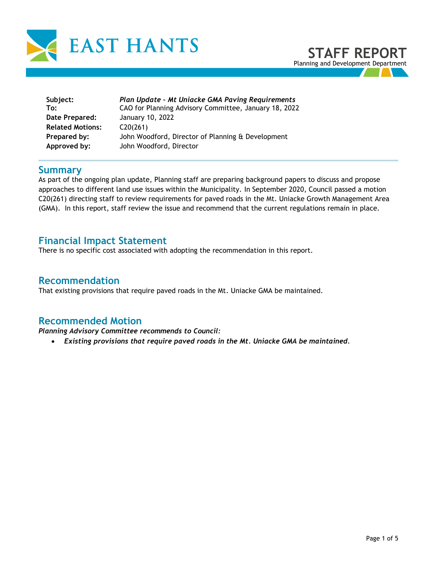

| Subject:                | Plan Update - Mt Uniacke GMA Paving Requirements      |
|-------------------------|-------------------------------------------------------|
| To:                     | CAO for Planning Advisory Committee, January 18, 2022 |
| Date Prepared:          | January 10, 2022                                      |
| <b>Related Motions:</b> | C20(261)                                              |
| Prepared by:            | John Woodford, Director of Planning & Development     |
| Approved by:            | John Woodford, Director                               |

### **Summary**

As part of the ongoing plan update, Planning staff are preparing background papers to discuss and propose approaches to different land use issues within the Municipality. In September 2020, Council passed a motion C20(261) directing staff to review requirements for paved roads in the Mt. Uniacke Growth Management Area (GMA). In this report, staff review the issue and recommend that the current regulations remain in place.

# **Financial Impact Statement**

There is no specific cost associated with adopting the recommendation in this report.

### **Recommendation**

That existing provisions that require paved roads in the Mt. Uniacke GMA be maintained.

#### **Recommended Motion**

*Planning Advisory Committee recommends to Council:* 

• *Existing provisions that require paved roads in the Mt. Uniacke GMA be maintained.*

**STAFF REPORT** Planning and Development Department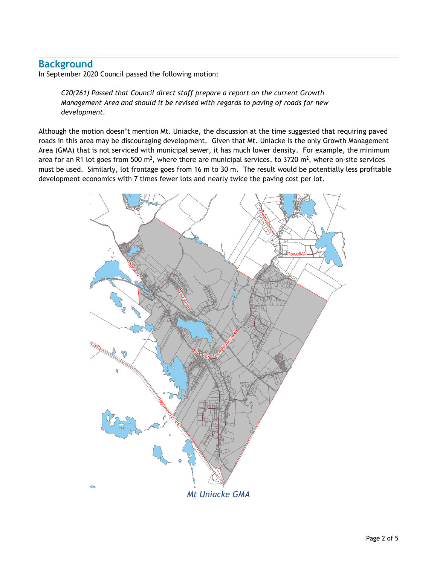# **Background**

In September 2020 Council passed the following motion:

*C20(261) Passed that Council direct staff prepare a report on the current Growth Management Area and should it be revised with regards to paving of roads for new development.* 

Although the motion doesn't mention Mt. Uniacke, the discussion at the time suggested that requiring paved roads in this area may be discouraging development. Given that Mt. Uniacke is the only Growth Management Area (GMA) that is not serviced with municipal sewer, it has much lower density. For example, the minimum area for an R1 lot goes from 500 m<sup>2</sup>, where there are municipal services, to 3720 m<sup>2</sup>, where on-site services must be used. Similarly, lot frontage goes from 16 m to 30 m. The result would be potentially less profitable development economics with 7 times fewer lots and nearly twice the paving cost per lot.

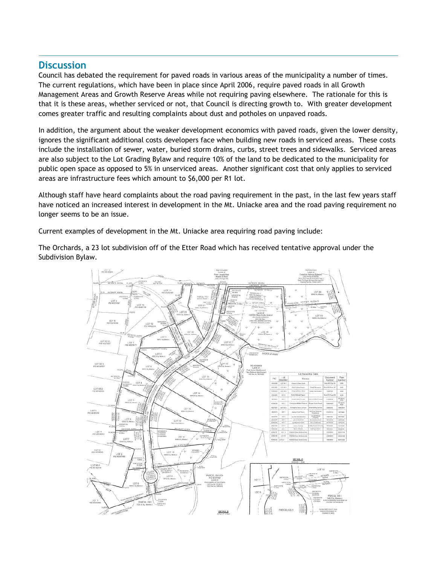## **Discussion**

Council has debated the requirement for paved roads in various areas of the municipality a number of times. The current regulations, which have been in place since April 2006, require paved roads in all Growth Management Areas and Growth Reserve Areas while not requiring paving elsewhere. The rationale for this is that it is these areas, whether serviced or not, that Council is directing growth to. With greater development comes greater traffic and resulting complaints about dust and potholes on unpaved roads.

In addition, the argument about the weaker development economics with paved roads, given the lower density, ignores the significant additional costs developers face when building new roads in serviced areas. These costs include the installation of sewer, water, buried storm drains, curbs, street trees and sidewalks. Serviced areas are also subject to the Lot Grading Bylaw and require 10% of the land to be dedicated to the municipality for public open space as opposed to 5% in unserviced areas. Another significant cost that only applies to serviced areas are infrastructure fees which amount to \$6,000 per R1 lot.

Although staff have heard complaints about the road paving requirement in the past, in the last few years staff have noticed an increased interest in development in the Mt. Uniacke area and the road paving requirement no longer seems to be an issue.

Current examples of development in the Mt. Uniacke area requiring road paving include:

The Orchards, a 23 lot subdivision off of the Etter Road which has received tentative approval under the Subdivision Bylaw.

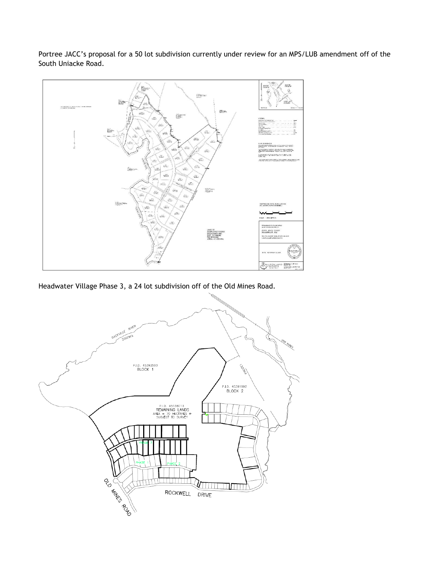Portree JACC's proposal for a 50 lot subdivision currently under review for an MPS/LUB amendment off of the South Uniacke Road.



Headwater Village Phase 3, a 24 lot subdivision off of the Old Mines Road.